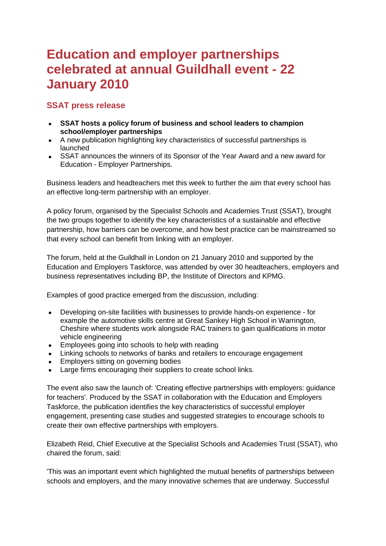# **Education and employer partnerships celebrated at annual Guildhall event - 22 January 2010**

## **SSAT press release**

- **SSAT hosts a policy forum of business and school leaders to champion school/employer partnerships**
- A new publication highlighting key characteristics of successful partnerships is launched
- SSAT announces the winners of its Sponsor of the Year Award and a new award for Education - Employer Partnerships.

Business leaders and headteachers met this week to further the aim that every school has an effective long-term partnership with an employer.

A policy forum, organised by the Specialist Schools and Academies Trust (SSAT), brought the two groups together to identify the key characteristics of a sustainable and effective partnership, how barriers can be overcome, and how best practice can be mainstreamed so that every school can benefit from linking with an employer.

The forum, held at the Guildhall in London on 21 January 2010 and supported by the Education and Employers Taskforce, was attended by over 30 headteachers, employers and business representatives including BP, the Institute of Directors and KPMG.

Examples of good practice emerged from the discussion, including:

- Developing on-site facilities with businesses to provide hands-on experience for example the automotive skills centre at Great Sankey High School in Warrington, Cheshire where students work alongside RAC trainers to gain qualifications in motor vehicle engineering
- **Employees going into schools to help with reading**
- Linking schools to networks of banks and retailers to encourage engagement
- Employers sitting on governing bodies
- Large firms encouraging their suppliers to create school links.

The event also saw the launch of: 'Creating effective partnerships with employers: guidance for teachers'. Produced by the SSAT in collaboration with the Education and Employers Taskforce, the publication identifies the key characteristics of successful employer engagement, presenting case studies and suggested strategies to encourage schools to create their own effective partnerships with employers.

Elizabeth Reid, Chief Executive at the Specialist Schools and Academies Trust (SSAT), who chaired the forum, said:

'This was an important event which highlighted the mutual benefits of partnerships between schools and employers, and the many innovative schemes that are underway. Successful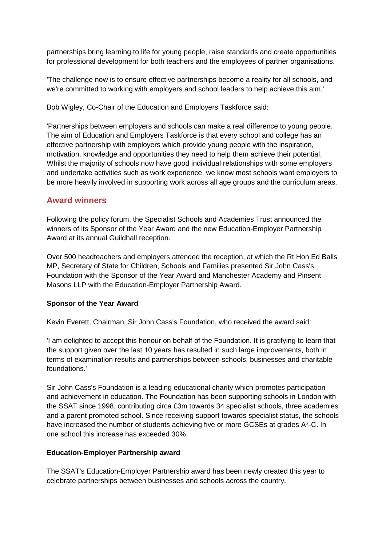partnerships bring learning to life for young people, raise standards and create opportunities for professional development for both teachers and the employees of partner organisations.

'The challenge now is to ensure effective partnerships become a reality for all schools, and we're committed to working with employers and school leaders to help achieve this aim.'

Bob Wigley, Co-Chair of the Education and Employers Taskforce said:

'Partnerships between employers and schools can make a real difference to young people. The aim of Education and Employers Taskforce is that every school and college has an effective partnership with employers which provide young people with the inspiration, motivation, knowledge and opportunities they need to help them achieve their potential. Whilst the majority of schools now have good individual relationships with some employers and undertake activities such as work experience, we know most schools want employers to be more heavily involved in supporting work across all age groups and the curriculum areas.

## **Award winners**

Following the policy forum, the Specialist Schools and Academies Trust announced the winners of its Sponsor of the Year Award and the new Education-Employer Partnership Award at its annual Guildhall reception.

Over 500 headteachers and employers attended the reception, at which the Rt Hon Ed Balls MP, Secretary of State for Children, Schools and Families presented Sir John Cass's Foundation with the Sponsor of the Year Award and Manchester Academy and Pinsent Masons LLP with the Education-Employer Partnership Award.

#### **Sponsor of the Year Award**

Kevin Everett, Chairman, Sir John Cass's Foundation, who received the award said:

'I am delighted to accept this honour on behalf of the Foundation. It is gratifying to learn that the support given over the last 10 years has resulted in such large improvements, both in terms of examination results and partnerships between schools, businesses and charitable foundations.'

Sir John Cass's Foundation is a leading educational charity which promotes participation and achievement in education. The Foundation has been supporting schools in London with the SSAT since 1998, contributing circa £3m towards 34 specialist schools, three academies and a parent promoted school. Since receiving support towards specialist status, the schools have increased the number of students achieving five or more GCSEs at grades A\*-C. In one school this increase has exceeded 30%.

#### **Education-Employer Partnership award**

The SSAT's Education-Employer Partnership award has been newly created this year to celebrate partnerships between businesses and schools across the country.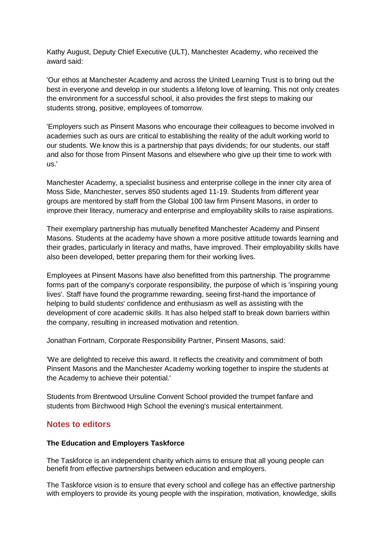Kathy August, Deputy Chief Executive (ULT), Manchester Academy, who received the award said:

'Our ethos at Manchester Academy and across the United Learning Trust is to bring out the best in everyone and develop in our students a lifelong love of learning. This not only creates the environment for a successful school, it also provides the first steps to making our students strong, positive, employees of tomorrow.

'Employers such as Pinsent Masons who encourage their colleagues to become involved in academies such as ours are critical to establishing the reality of the adult working world to our students. We know this is a partnership that pays dividends; for our students, our staff and also for those from Pinsent Masons and elsewhere who give up their time to work with us.'

Manchester Academy, a specialist business and enterprise college in the inner city area of Moss Side, Manchester, serves 850 students aged 11-19. Students from different year groups are mentored by staff from the Global 100 law firm Pinsent Masons, in order to improve their literacy, numeracy and enterprise and employability skills to raise aspirations.

Their exemplary partnership has mutually benefited Manchester Academy and Pinsent Masons. Students at the academy have shown a more positive attitude towards learning and their grades, particularly in literacy and maths, have improved. Their employability skills have also been developed, better preparing them for their working lives.

Employees at Pinsent Masons have also benefitted from this partnership. The programme forms part of the company's corporate responsibility, the purpose of which is 'inspiring young lives'. Staff have found the programme rewarding, seeing first-hand the importance of helping to build students' confidence and enthusiasm as well as assisting with the development of core academic skills. It has also helped staff to break down barriers within the company, resulting in increased motivation and retention.

Jonathan Fortnam, Corporate Responsibility Partner, Pinsent Masons, said:

'We are delighted to receive this award. It reflects the creativity and commitment of both Pinsent Masons and the Manchester Academy working together to inspire the students at the Academy to achieve their potential.'

Students from Brentwood Ursuline Convent School provided the trumpet fanfare and students from Birchwood High School the evening's musical entertainment.

## **Notes to editors**

#### **The Education and Employers Taskforce**

The Taskforce is an independent charity which aims to ensure that all young people can benefit from effective partnerships between education and employers.

The Taskforce vision is to ensure that every school and college has an effective partnership with employers to provide its young people with the inspiration, motivation, knowledge, skills